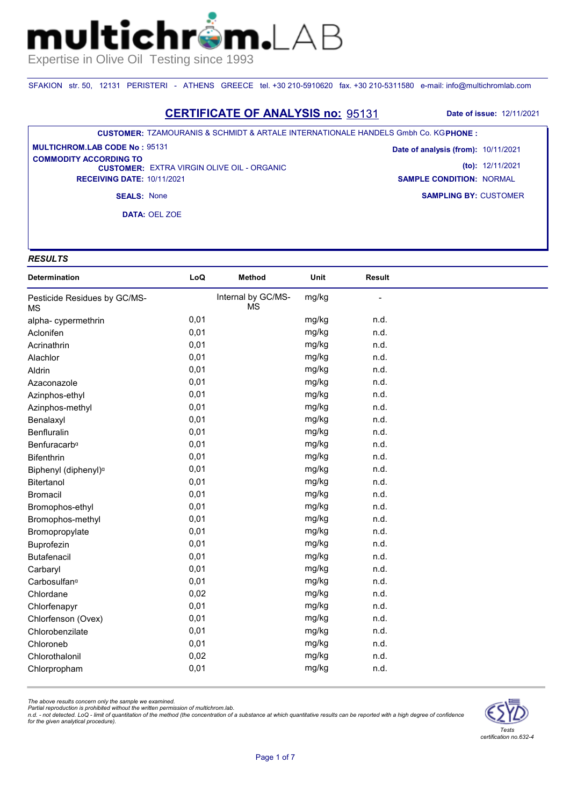SFAKION str. 50, 12131 PERISTERI - ATHENS GREECE tel. +30 210-5910620 fax. +30 210-5311580 e-mail: info@multichromlab.com

### **CERTIFICATE OF ANALYSIS no:** 95131 **Date of issue:** 12/11/2021

#### **CUSTOMER:** TZAMOURANIS & SCHMIDT & ARTALE INTERNATIONALE HANDELS Gmbh Co. KG **PHONE :**

**CUSTOMER: EXTRA VIRGIN OLIVE OIL - ORGANIC RECEIVING DATE:** 10/11/2021 **MULTICHROM.LAB CODE No :** 95131 **COMMODITY ACCORDING TO** 

**SAMPLING BY:** CUSTOMER **Date of analysis (from):** 10/11/2021 **(to):** 12/11/2021 **SAMPLE CONDITION:** NORMAL

**SEALS:** None

**DATA:** OEL ZOE

## *RESULTS*

| <b>Determination</b>               | LoQ  | <b>Method</b>                   | Unit  | <b>Result</b> |  |
|------------------------------------|------|---------------------------------|-------|---------------|--|
| Pesticide Residues by GC/MS-<br>ΜS |      | Internal by GC/MS-<br><b>MS</b> | mg/kg |               |  |
| alpha-cypermethrin                 | 0,01 |                                 | mg/kg | n.d.          |  |
| Aclonifen                          | 0,01 |                                 | mg/kg | n.d.          |  |
| Acrinathrin                        | 0,01 |                                 | mg/kg | n.d.          |  |
| Alachlor                           | 0,01 |                                 | mg/kg | n.d.          |  |
| Aldrin                             | 0,01 |                                 | mg/kg | n.d.          |  |
| Azaconazole                        | 0,01 |                                 | mg/kg | n.d.          |  |
| Azinphos-ethyl                     | 0,01 |                                 | mg/kg | n.d.          |  |
| Azinphos-methyl                    | 0,01 |                                 | mg/kg | n.d.          |  |
| Benalaxyl                          | 0,01 |                                 | mg/kg | n.d.          |  |
| Benfluralin                        | 0,01 |                                 | mg/kg | n.d.          |  |
| Benfuracarb <sup>a</sup>           | 0,01 |                                 | mg/kg | n.d.          |  |
| <b>Bifenthrin</b>                  | 0,01 |                                 | mg/kg | n.d.          |  |
| Biphenyl (diphenyl) <sup>a</sup>   | 0,01 |                                 | mg/kg | n.d.          |  |
| Bitertanol                         | 0,01 |                                 | mg/kg | n.d.          |  |
| <b>Bromacil</b>                    | 0,01 |                                 | mg/kg | n.d.          |  |
| Bromophos-ethyl                    | 0,01 |                                 | mg/kg | n.d.          |  |
| Bromophos-methyl                   | 0,01 |                                 | mg/kg | n.d.          |  |
| Bromopropylate                     | 0,01 |                                 | mg/kg | n.d.          |  |
| Buprofezin                         | 0,01 |                                 | mg/kg | n.d.          |  |
| <b>Butafenacil</b>                 | 0,01 |                                 | mg/kg | n.d.          |  |
| Carbaryl                           | 0,01 |                                 | mg/kg | n.d.          |  |
| Carbosulfan <sup>a</sup>           | 0,01 |                                 | mg/kg | n.d.          |  |
| Chlordane                          | 0,02 |                                 | mg/kg | n.d.          |  |
| Chlorfenapyr                       | 0,01 |                                 | mg/kg | n.d.          |  |
| Chlorfenson (Ovex)                 | 0,01 |                                 | mg/kg | n.d.          |  |
| Chlorobenzilate                    | 0,01 |                                 | mg/kg | n.d.          |  |
| Chloroneb                          | 0,01 |                                 | mg/kg | n.d.          |  |
| Chlorothalonil                     | 0,02 |                                 | mg/kg | n.d.          |  |
| Chlorpropham                       | 0,01 |                                 | mg/kg | n.d.          |  |

*The above results concern only the sample we examined.* 

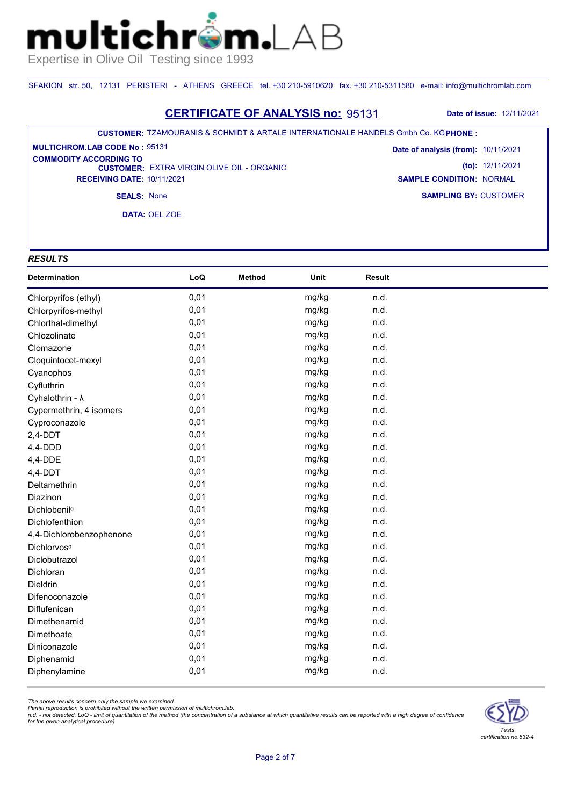SFAKION str. 50, 12131 PERISTERI - ATHENS GREECE tel. +30 210-5910620 fax. +30 210-5311580 e-mail: info@multichromlab.com

### **CERTIFICATE OF ANALYSIS no:** 95131 **Date of issue:** 12/11/2021

#### **CUSTOMER:** TZAMOURANIS & SCHMIDT & ARTALE INTERNATIONALE HANDELS Gmbh Co. KG **PHONE :**

**CUSTOMER: EXTRA VIRGIN OLIVE OIL - ORGANIC RECEIVING DATE:** 10/11/2021 **MULTICHROM.LAB CODE No :** 95131 **COMMODITY ACCORDING TO** 

**SAMPLING BY:** CUSTOMER **Date of analysis (from):** 10/11/2021 **(to):** 12/11/2021 **SAMPLE CONDITION:** NORMAL

**SEALS:** None

**DATA:** OEL ZOE

## *RESULTS*

| Determination            | LoQ  | <b>Method</b> | Unit  | Result |  |
|--------------------------|------|---------------|-------|--------|--|
| Chlorpyrifos (ethyl)     | 0,01 |               | mg/kg | n.d.   |  |
| Chlorpyrifos-methyl      | 0,01 |               | mg/kg | n.d.   |  |
| Chlorthal-dimethyl       | 0,01 |               | mg/kg | n.d.   |  |
| Chlozolinate             | 0,01 |               | mg/kg | n.d.   |  |
| Clomazone                | 0,01 |               | mg/kg | n.d.   |  |
| Cloquintocet-mexyl       | 0,01 |               | mg/kg | n.d.   |  |
| Cyanophos                | 0,01 |               | mg/kg | n.d.   |  |
| Cyfluthrin               | 0,01 |               | mg/kg | n.d.   |  |
| Cyhalothrin - λ          | 0,01 |               | mg/kg | n.d.   |  |
| Cypermethrin, 4 isomers  | 0,01 |               | mg/kg | n.d.   |  |
| Cyproconazole            | 0,01 |               | mg/kg | n.d.   |  |
| $2,4$ -DDT               | 0,01 |               | mg/kg | n.d.   |  |
| $4,4-DDD$                | 0,01 |               | mg/kg | n.d.   |  |
| 4,4-DDE                  | 0,01 |               | mg/kg | n.d.   |  |
| 4,4-DDT                  | 0,01 |               | mg/kg | n.d.   |  |
| Deltamethrin             | 0,01 |               | mg/kg | n.d.   |  |
| Diazinon                 | 0,01 |               | mg/kg | n.d.   |  |
| Dichlobenil <sup>a</sup> | 0,01 |               | mg/kg | n.d.   |  |
| Dichlofenthion           | 0,01 |               | mg/kg | n.d.   |  |
| 4,4-Dichlorobenzophenone | 0,01 |               | mg/kg | n.d.   |  |
| Dichlorvos <sup>a</sup>  | 0,01 |               | mg/kg | n.d.   |  |
| Diclobutrazol            | 0,01 |               | mg/kg | n.d.   |  |
| Dichloran                | 0,01 |               | mg/kg | n.d.   |  |
| Dieldrin                 | 0,01 |               | mg/kg | n.d.   |  |
| Difenoconazole           | 0,01 |               | mg/kg | n.d.   |  |
| Diflufenican             | 0,01 |               | mg/kg | n.d.   |  |
| Dimethenamid             | 0,01 |               | mg/kg | n.d.   |  |
| Dimethoate               | 0,01 |               | mg/kg | n.d.   |  |
| Diniconazole             | 0,01 |               | mg/kg | n.d.   |  |
| Diphenamid               | 0,01 |               | mg/kg | n.d.   |  |
| Diphenylamine            | 0,01 |               | mg/kg | n.d.   |  |

*The above results concern only the sample we examined.* 

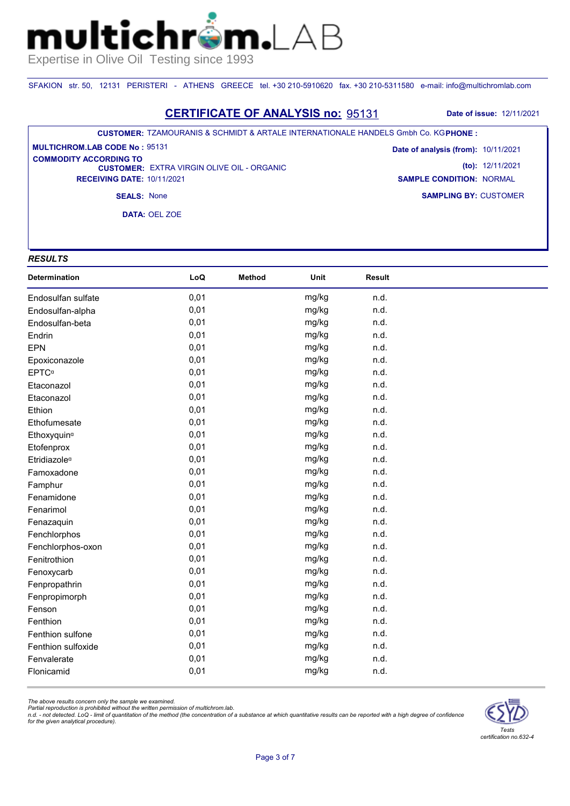SFAKION str. 50, 12131 PERISTERI - ATHENS GREECE tel. +30 210-5910620 fax. +30 210-5311580 e-mail: info@multichromlab.com

### **CERTIFICATE OF ANALYSIS no:** 95131 **Date of issue:** 12/11/2021

#### **CUSTOMER:** TZAMOURANIS & SCHMIDT & ARTALE INTERNATIONALE HANDELS Gmbh Co. KG **PHONE :**

**CUSTOMER: EXTRA VIRGIN OLIVE OIL - ORGANIC RECEIVING DATE:** 10/11/2021 **MULTICHROM.LAB CODE No :** 95131 **COMMODITY ACCORDING TO** 

**SAMPLING BY:** CUSTOMER **Date of analysis (from):** 10/11/2021 **(to):** 12/11/2021 **SAMPLE CONDITION:** NORMAL

**SEALS:** None

**DATA:** OEL ZOE

#### *RESULTS*

| Determination            | LoQ  | <b>Method</b> | Unit  | <b>Result</b> |  |
|--------------------------|------|---------------|-------|---------------|--|
| Endosulfan sulfate       | 0,01 |               | mg/kg | n.d.          |  |
| Endosulfan-alpha         | 0,01 |               | mg/kg | n.d.          |  |
| Endosulfan-beta          | 0,01 |               | mg/kg | n.d.          |  |
| Endrin                   | 0,01 |               | mg/kg | n.d.          |  |
| <b>EPN</b>               | 0,01 |               | mg/kg | n.d.          |  |
| Epoxiconazole            | 0,01 |               | mg/kg | n.d.          |  |
| <b>EPTC</b> <sup>a</sup> | 0,01 |               | mg/kg | n.d.          |  |
| Etaconazol               | 0,01 |               | mg/kg | n.d.          |  |
| Etaconazol               | 0,01 |               | mg/kg | n.d.          |  |
| Ethion                   | 0,01 |               | mg/kg | n.d.          |  |
| Ethofumesate             | 0,01 |               | mg/kg | n.d.          |  |
| Ethoxyquin <sup>a</sup>  | 0,01 |               | mg/kg | n.d.          |  |
| Etofenprox               | 0,01 |               | mg/kg | n.d.          |  |
| Etridiazole <sup>a</sup> | 0,01 |               | mg/kg | n.d.          |  |
| Famoxadone               | 0,01 |               | mg/kg | n.d.          |  |
| Famphur                  | 0,01 |               | mg/kg | n.d.          |  |
| Fenamidone               | 0,01 |               | mg/kg | n.d.          |  |
| Fenarimol                | 0,01 |               | mg/kg | n.d.          |  |
| Fenazaquin               | 0,01 |               | mg/kg | n.d.          |  |
| Fenchlorphos             | 0,01 |               | mg/kg | n.d.          |  |
| Fenchlorphos-oxon        | 0,01 |               | mg/kg | n.d.          |  |
| Fenitrothion             | 0,01 |               | mg/kg | n.d.          |  |
| Fenoxycarb               | 0,01 |               | mg/kg | n.d.          |  |
| Fenpropathrin            | 0,01 |               | mg/kg | n.d.          |  |
| Fenpropimorph            | 0,01 |               | mg/kg | n.d.          |  |
| Fenson                   | 0,01 |               | mg/kg | n.d.          |  |
| Fenthion                 | 0,01 |               | mg/kg | n.d.          |  |
| Fenthion sulfone         | 0,01 |               | mg/kg | n.d.          |  |
| Fenthion sulfoxide       | 0,01 |               | mg/kg | n.d.          |  |
| Fenvalerate              | 0,01 |               | mg/kg | n.d.          |  |
| Flonicamid               | 0,01 |               | mg/kg | n.d.          |  |

*The above results concern only the sample we examined.* 

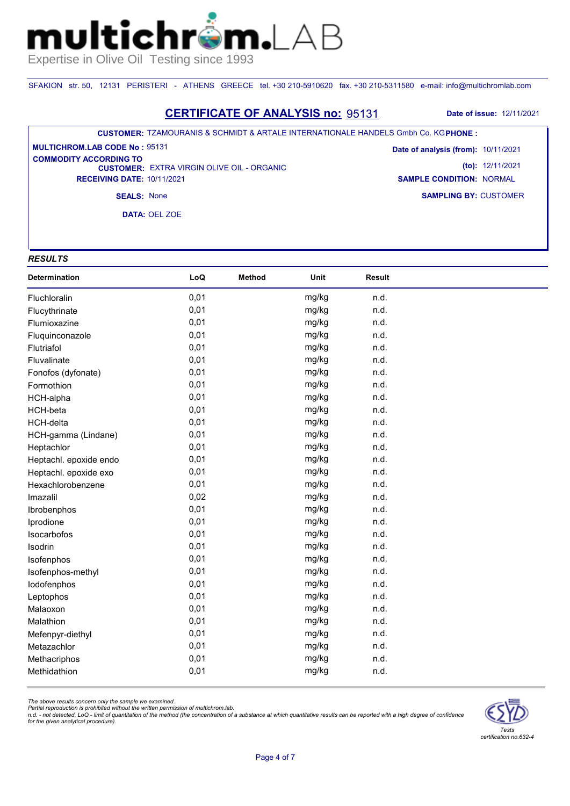SFAKION str. 50, 12131 PERISTERI - ATHENS GREECE tel. +30 210-5910620 fax. +30 210-5311580 e-mail: info@multichromlab.com

### **CERTIFICATE OF ANALYSIS no:** 95131 **Date of issue:** 12/11/2021

#### **CUSTOMER:** TZAMOURANIS & SCHMIDT & ARTALE INTERNATIONALE HANDELS Gmbh Co. KG **PHONE :**

**CUSTOMER: EXTRA VIRGIN OLIVE OIL - ORGANIC RECEIVING DATE:** 10/11/2021 **MULTICHROM.LAB CODE No :** 95131 **COMMODITY ACCORDING TO** 

**SAMPLING BY:** CUSTOMER **Date of analysis (from):** 10/11/2021 **(to):** 12/11/2021 **SAMPLE CONDITION:** NORMAL

**SEALS:** None

**DATA:** OEL ZOE

## *RESULTS*

| Determination          | LoQ  | <b>Method</b> | Unit  | Result |  |
|------------------------|------|---------------|-------|--------|--|
| Fluchloralin           | 0,01 |               | mg/kg | n.d.   |  |
| Flucythrinate          | 0,01 |               | mg/kg | n.d.   |  |
| Flumioxazine           | 0,01 |               | mg/kg | n.d.   |  |
| Fluquinconazole        | 0,01 |               | mg/kg | n.d.   |  |
| Flutriafol             | 0,01 |               | mg/kg | n.d.   |  |
| Fluvalinate            | 0,01 |               | mg/kg | n.d.   |  |
| Fonofos (dyfonate)     | 0,01 |               | mg/kg | n.d.   |  |
| Formothion             | 0,01 |               | mg/kg | n.d.   |  |
| <b>HCH-alpha</b>       | 0,01 |               | mg/kg | n.d.   |  |
| HCH-beta               | 0,01 |               | mg/kg | n.d.   |  |
| <b>HCH-delta</b>       | 0,01 |               | mg/kg | n.d.   |  |
| HCH-gamma (Lindane)    | 0,01 |               | mg/kg | n.d.   |  |
| Heptachlor             | 0,01 |               | mg/kg | n.d.   |  |
| Heptachl. epoxide endo | 0,01 |               | mg/kg | n.d.   |  |
| Heptachl. epoxide exo  | 0,01 |               | mg/kg | n.d.   |  |
| Hexachlorobenzene      | 0,01 |               | mg/kg | n.d.   |  |
| Imazalil               | 0,02 |               | mg/kg | n.d.   |  |
| Ibrobenphos            | 0,01 |               | mg/kg | n.d.   |  |
| Iprodione              | 0,01 |               | mg/kg | n.d.   |  |
| Isocarbofos            | 0,01 |               | mg/kg | n.d.   |  |
| Isodrin                | 0,01 |               | mg/kg | n.d.   |  |
| Isofenphos             | 0,01 |               | mg/kg | n.d.   |  |
| Isofenphos-methyl      | 0,01 |               | mg/kg | n.d.   |  |
| lodofenphos            | 0,01 |               | mg/kg | n.d.   |  |
| Leptophos              | 0,01 |               | mg/kg | n.d.   |  |
| Malaoxon               | 0,01 |               | mg/kg | n.d.   |  |
| Malathion              | 0,01 |               | mg/kg | n.d.   |  |
| Mefenpyr-diethyl       | 0,01 |               | mg/kg | n.d.   |  |
| Metazachlor            | 0,01 |               | mg/kg | n.d.   |  |
| Methacriphos           | 0,01 |               | mg/kg | n.d.   |  |
| Methidathion           | 0,01 |               | mg/kg | n.d.   |  |

*The above results concern only the sample we examined.* 

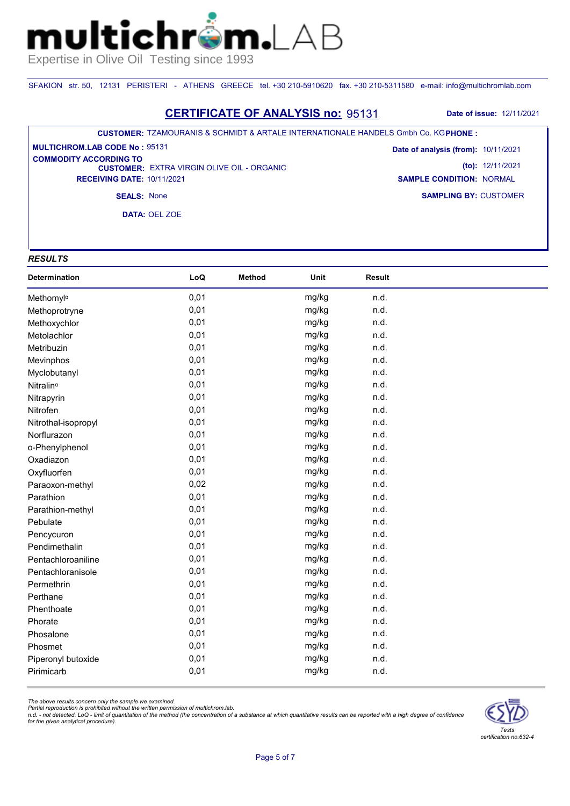SFAKION str. 50, 12131 PERISTERI - ATHENS GREECE tel. +30 210-5910620 fax. +30 210-5311580 e-mail: info@multichromlab.com

### **CERTIFICATE OF ANALYSIS no:** 95131 **Date of issue:** 12/11/2021

#### **CUSTOMER:** TZAMOURANIS & SCHMIDT & ARTALE INTERNATIONALE HANDELS Gmbh Co. KG **PHONE :**

**CUSTOMER: EXTRA VIRGIN OLIVE OIL - ORGANIC RECEIVING DATE:** 10/11/2021 **MULTICHROM.LAB CODE No :** 95131 **COMMODITY ACCORDING TO** 

**SAMPLING BY:** CUSTOMER **Date of analysis (from):** 10/11/2021 **(to):** 12/11/2021 **SAMPLE CONDITION:** NORMAL

**SEALS:** None

**DATA:** OEL ZOE

## *RESULTS*

| Determination         | LoQ  | <b>Method</b> | Unit  | <b>Result</b> |  |
|-----------------------|------|---------------|-------|---------------|--|
| Methomyla             | 0,01 |               | mg/kg | n.d.          |  |
| Methoprotryne         | 0,01 |               | mg/kg | n.d.          |  |
| Methoxychlor          | 0,01 |               | mg/kg | n.d.          |  |
| Metolachlor           | 0,01 |               | mg/kg | n.d.          |  |
| Metribuzin            | 0,01 |               | mg/kg | n.d.          |  |
| Mevinphos             | 0,01 |               | mg/kg | n.d.          |  |
| Myclobutanyl          | 0,01 |               | mg/kg | n.d.          |  |
| Nitralin <sup>a</sup> | 0,01 |               | mg/kg | n.d.          |  |
| Nitrapyrin            | 0,01 |               | mg/kg | n.d.          |  |
| Nitrofen              | 0,01 |               | mg/kg | n.d.          |  |
| Nitrothal-isopropyl   | 0,01 |               | mg/kg | n.d.          |  |
| Norflurazon           | 0,01 |               | mg/kg | n.d.          |  |
| o-Phenylphenol        | 0,01 |               | mg/kg | n.d.          |  |
| Oxadiazon             | 0,01 |               | mg/kg | n.d.          |  |
| Oxyfluorfen           | 0,01 |               | mg/kg | n.d.          |  |
| Paraoxon-methyl       | 0,02 |               | mg/kg | n.d.          |  |
| Parathion             | 0,01 |               | mg/kg | n.d.          |  |
| Parathion-methyl      | 0,01 |               | mg/kg | n.d.          |  |
| Pebulate              | 0,01 |               | mg/kg | n.d.          |  |
| Pencycuron            | 0,01 |               | mg/kg | n.d.          |  |
| Pendimethalin         | 0,01 |               | mg/kg | n.d.          |  |
| Pentachloroaniline    | 0,01 |               | mg/kg | n.d.          |  |
| Pentachloranisole     | 0,01 |               | mg/kg | n.d.          |  |
| Permethrin            | 0,01 |               | mg/kg | n.d.          |  |
| Perthane              | 0,01 |               | mg/kg | n.d.          |  |
| Phenthoate            | 0,01 |               | mg/kg | n.d.          |  |
| Phorate               | 0,01 |               | mg/kg | n.d.          |  |
| Phosalone             | 0,01 |               | mg/kg | n.d.          |  |
| Phosmet               | 0,01 |               | mg/kg | n.d.          |  |
| Piperonyl butoxide    | 0,01 |               | mg/kg | n.d.          |  |
| Pirimicarb            | 0,01 |               | mg/kg | n.d.          |  |

*The above results concern only the sample we examined.* 

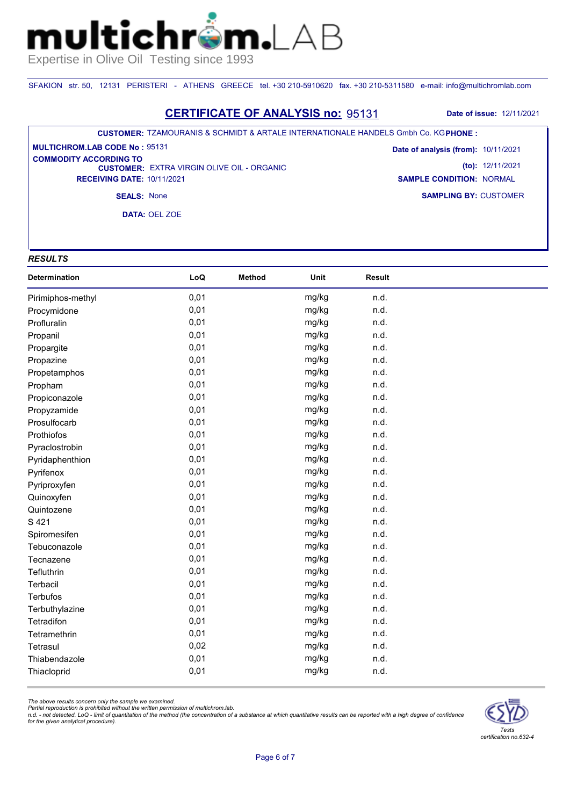SFAKION str. 50, 12131 PERISTERI - ATHENS GREECE tel. +30 210-5910620 fax. +30 210-5311580 e-mail: info@multichromlab.com

### **CERTIFICATE OF ANALYSIS no:** 95131 **Date of issue:** 12/11/2021

#### **CUSTOMER:** TZAMOURANIS & SCHMIDT & ARTALE INTERNATIONALE HANDELS Gmbh Co. KG **PHONE :**

**CUSTOMER: EXTRA VIRGIN OLIVE OIL - ORGANIC RECEIVING DATE:** 10/11/2021 **MULTICHROM.LAB CODE No :** 95131 **COMMODITY ACCORDING TO** 

**SAMPLING BY:** CUSTOMER **Date of analysis (from):** 10/11/2021 **(to):** 12/11/2021 **SAMPLE CONDITION:** NORMAL

**SEALS:** None

**DATA:** OEL ZOE

## *RESULTS*

| Determination     | LoQ  | <b>Method</b> | Unit  | Result |  |
|-------------------|------|---------------|-------|--------|--|
| Pirimiphos-methyl | 0,01 |               | mg/kg | n.d.   |  |
| Procymidone       | 0,01 |               | mg/kg | n.d.   |  |
| Profluralin       | 0,01 |               | mg/kg | n.d.   |  |
| Propanil          | 0,01 |               | mg/kg | n.d.   |  |
| Propargite        | 0,01 |               | mg/kg | n.d.   |  |
| Propazine         | 0,01 |               | mg/kg | n.d.   |  |
| Propetamphos      | 0,01 |               | mg/kg | n.d.   |  |
| Propham           | 0,01 |               | mg/kg | n.d.   |  |
| Propiconazole     | 0,01 |               | mg/kg | n.d.   |  |
| Propyzamide       | 0,01 |               | mg/kg | n.d.   |  |
| Prosulfocarb      | 0,01 |               | mg/kg | n.d.   |  |
| Prothiofos        | 0,01 |               | mg/kg | n.d.   |  |
| Pyraclostrobin    | 0,01 |               | mg/kg | n.d.   |  |
| Pyridaphenthion   | 0,01 |               | mg/kg | n.d.   |  |
| Pyrifenox         | 0,01 |               | mg/kg | n.d.   |  |
| Pyriproxyfen      | 0,01 |               | mg/kg | n.d.   |  |
| Quinoxyfen        | 0,01 |               | mg/kg | n.d.   |  |
| Quintozene        | 0,01 |               | mg/kg | n.d.   |  |
| S 421             | 0,01 |               | mg/kg | n.d.   |  |
| Spiromesifen      | 0,01 |               | mg/kg | n.d.   |  |
| Tebuconazole      | 0,01 |               | mg/kg | n.d.   |  |
| Tecnazene         | 0,01 |               | mg/kg | n.d.   |  |
| Tefluthrin        | 0,01 |               | mg/kg | n.d.   |  |
| Terbacil          | 0,01 |               | mg/kg | n.d.   |  |
| <b>Terbufos</b>   | 0,01 |               | mg/kg | n.d.   |  |
| Terbuthylazine    | 0,01 |               | mg/kg | n.d.   |  |
| Tetradifon        | 0,01 |               | mg/kg | n.d.   |  |
| Tetramethrin      | 0,01 |               | mg/kg | n.d.   |  |
| Tetrasul          | 0,02 |               | mg/kg | n.d.   |  |
| Thiabendazole     | 0,01 |               | mg/kg | n.d.   |  |
| Thiacloprid       | 0,01 |               | mg/kg | n.d.   |  |

*The above results concern only the sample we examined.*